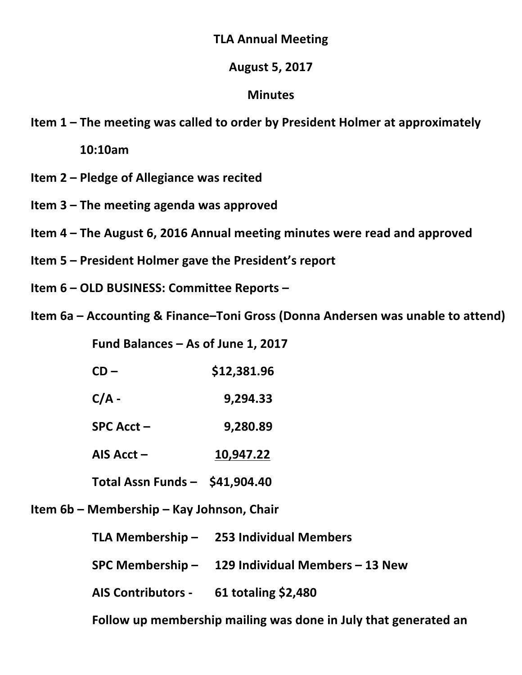## **TLA Annual Meeting**

## **August\$5,\$2017**

## **Minutes**

**Item 1 – The meeting was called to order by President Holmer at approximately** 

**\$\$\$\$\$\$10:10am**

- **Item 2 Pledge of Allegiance was recited**
- **Item 3 The meeting agenda was approved**
- **Item 4 The August 6, 2016 Annual meeting minutes were read and approved**
- **Item 5 President Holmer gave the President's report**
- **Item 6 OLD BUSINESS: Committee Reports**
- **Item 6a Accounting & Finance–Toni Gross (Donna Andersen was unable to attend)**

Fund Balances – As of June 1, 2017

- **CD** \$12,381.96
- $C/A 9,294.33$
- **SPC\$Acct\$– \$\$\$9,280.89**
- **AIS\$Acct\$– 10,947.22**
- **Total Assn Funds \$41,904.40**

**Item 6b – Membership – Kay Johnson, Chair** 

**TLA\$Membership\$– 253\$Individual\$Members**

**SPC\$Membership\$– 129\$Individual\$Members\$– 13\$New**

**AIS\$Contributors\$\_ 61 totaling\$\$2,480**

Follow up membership mailing was done in July that generated an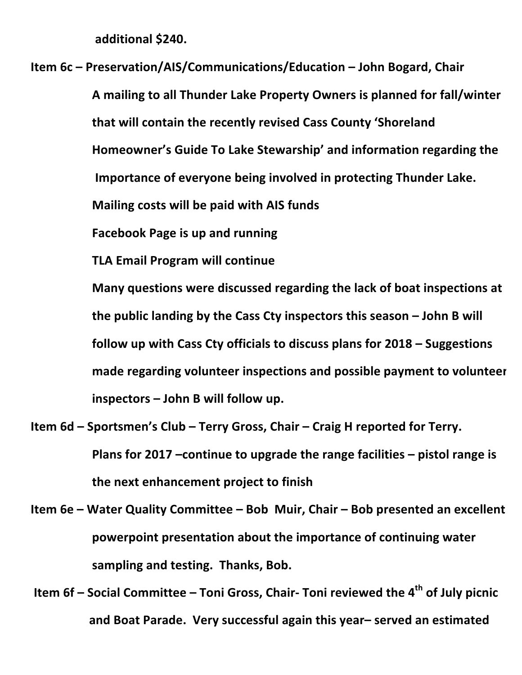**additional\$\$240.**

**Item 6c – Preservation/AIS/Communications/Education – John Bogard, Chair** 

**A\$mailing\$to\$all\$Thunder\$Lake\$Property\$Owners is\$planned\$for\$fall/winter that will contain the recently revised Cass County 'Shoreland Homeowner's Guide\$To\$Lake\$Stewarship' and\$information\$regarding\$the Importance of everyone being involved in protecting Thunder Lake. Mailing costs will be paid with AIS funds** 

**Facebook Page is up and running** 

**TLA Email Program will continue** 

**Many questions were discussed regarding the lack of boat inspections at** the public landing by the Cass Cty inspectors this season – John B will follow up with Cass Cty officials to discuss plans for 2018 – Suggestions **made regarding volunteer inspections and possible payment to volunteer inspectors – John B will follow up.** 

- **Item 6d Sportsmen's Club Terry Gross, Chair Craig H reported for Terry. Plans for 2017** –continue to upgrade the range facilities – pistol range is **the\$next\$enhancement\$project\$to\$finish**
- **Item 6e Water Quality Committee Bob Muir, Chair Bob presented an excellent** powerpoint presentation about the importance of continuing water sampling and testing. Thanks, Bob.
- **Item 6f** Social Committee Toni Gross, Chair- Toni reviewed the 4<sup>th</sup> of July picnic  $\frac{1}{10}$  **and Boat Parade. Very successful again this year– served an estimated**